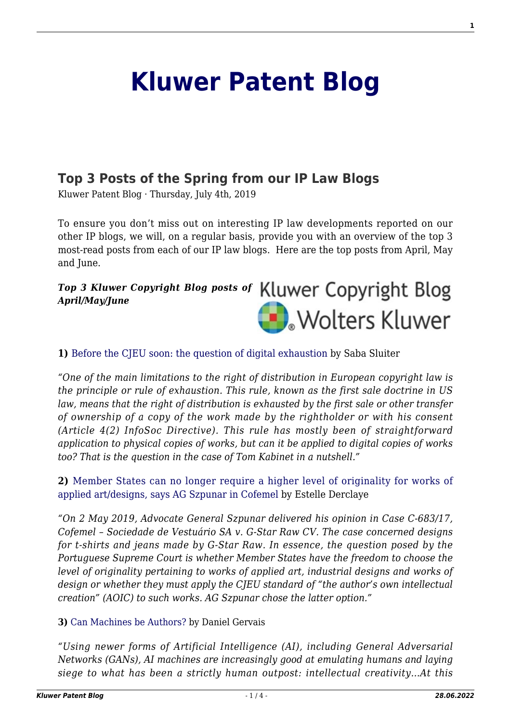# **[Kluwer Patent Blog](http://patentblog.kluweriplaw.com/)**

## **[Top 3 Posts of the Spring from our IP Law Blogs](http://patentblog.kluweriplaw.com/2019/07/04/top-3-posts-of-the-spring-from-our-ip-law-blogs/)**

Kluwer Patent Blog · Thursday, July 4th, 2019

To ensure you don't miss out on interesting IP law developments reported on our other IP blogs, we will, on a regular basis, provide you with an overview of the top 3 most-read posts from each of our IP law blogs. Here are the top posts from April, May and June.

## *Top 3 Kluwer Copyright Blog posts of April/May/June* **N**. Wolters Kluwer

**1)** [Before the CJEU soon: the question of digital exhaustion](http://copyrightblog.kluweriplaw.com/2019/04/01/before-the-cjeu-soon-the-question-of-digital-exhaustion/) [b](http://copyrightblog.kluweriplaw.com/2018/03/13/copyright-reform-new-right-press-publishers-not/)y Saba Sluiter

*"One of the main limitations to the right of distribution in European copyright law is the principle or rule of exhaustion. This rule, known as the first sale doctrine in US law, means that the right of distribution is exhausted by the first sale or other transfer of ownership of a copy of the work made by the rightholder or with his consent (Article 4(2) InfoSoc Directive). This rule has mostly been of straightforward application to physical copies of works, but can it be applied to digital copies of works too? That is the question in the case of Tom Kabinet in a nutshell."*

**2)** [Member States can no longer require a higher level of originality for works of](http://copyrightblog.kluweriplaw.com/2019/05/03/member-states-can-no-longer-require-a-higher-level-of-originality-for-works-of-applied-artdesigns-says-ag-szpunar-in-cofemel/) [applied art/designs, says AG Szpunar in Cofemel](http://copyrightblog.kluweriplaw.com/2019/05/03/member-states-can-no-longer-require-a-higher-level-of-originality-for-works-of-applied-artdesigns-says-ag-szpunar-in-cofemel/) by Estelle Derclaye

*"On 2 May 2019, Advocate General Szpunar delivered his opinion in Case C-683/17, Cofemel – Sociedade de Vestuário SA v. G-Star Raw CV. The case concerned designs for t-shirts and jeans made by G-Star Raw. In essence, the question posed by the Portuguese Supreme Court is whether Member States have the freedom to choose the level of originality pertaining to works of applied art, industrial designs and works of design or whether they must apply the CJEU standard of "the author's own intellectual creation" (AOIC) to such works. AG Szpunar chose the latter option."*

**3)** [Can Machines be Authors?](http://copyrightblog.kluweriplaw.com/2019/05/21/can-machines-be-authors/) by Daniel Gervais

*"Using newer forms of Artificial Intelligence (AI), including General Adversarial Networks (GANs), AI machines are increasingly good at emulating humans and laying siege to what has been a strictly human outpost: intellectual creativity…At this*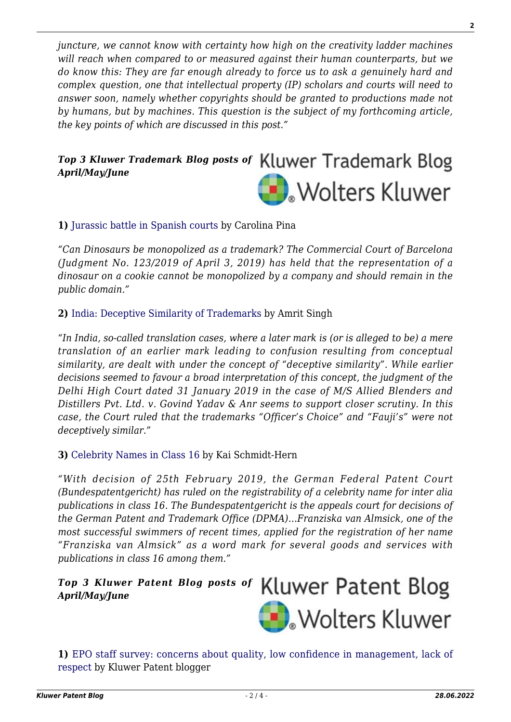*juncture, we cannot know with certainty how high on the creativity ladder machines will reach when compared to or measured against their human counterparts, but we do know this: They are far enough already to force us to ask a genuinely hard and complex question, one that intellectual property (IP) scholars and courts will need to answer soon, namely whether copyrights should be granted to productions made not by humans, but by machines. This question is the subject of my forthcoming article, the key points of which are discussed in this post."*

## *Top 3 Kluwer Trademark Blog posts of April/May/June* **D**. Wolters Kluwer

#### **1)** [Jurassic battle in Spanish courts](http://trademarkblog.kluweriplaw.com/2019/04/23/jurassic-battle-in-spanish-courts/) by Carolina Pina

*"Can Dinosaurs be monopolized as a trademark? The Commercial Court of Barcelona (Judgment No. 123/2019 of April 3, 2019) has held that the representation of a dinosaur on a cookie cannot be monopolized by a company and should remain in the public domain."*

#### **2)** [India: Deceptive Similarity of Trademarks](http://trademarkblog.kluweriplaw.com/2019/02/23/india-deceptive-similarity-of-trademarks/) by Amrit Singh

*"In India, so-called translation cases, where a later mark is (or is alleged to be) a mere translation of an earlier mark leading to confusion resulting from conceptual similarity, are dealt with under the concept of "deceptive similarity". While earlier decisions seemed to favour a broad interpretation of this concept, the judgment of the Delhi High Court dated 31 January 2019 in the case of M/S Allied Blenders and Distillers Pvt. Ltd. v. Govind Yadav & Anr seems to support closer scrutiny. In this case, the Court ruled that the trademarks "Officer's Choice" and "Fauji's" were not deceptively similar."*

#### **3)** [Celebrity Names in Class 16](http://trademarkblog.kluweriplaw.com/2019/05/03/celebrity-names-in-class-16/) by Kai Schmidt-Hern

*"With decision of 25th February 2019, the German Federal Patent Court (Bundespatentgericht) has ruled on the registrability of a celebrity name for inter alia publications in class 16. The Bundespatentgericht is the appeals court for decisions of the German Patent and Trademark Office (DPMA)…Franziska van Almsick, one of the most successful swimmers of recent times, applied for the registration of her name "Franziska van Almsick" as a word mark for several goods and services with publications in class 16 among them."*

#### Kluwer Patent Blog *Top 3 Kluwer Patent Blog posts of April/May/June*



**1)** [EPO staff survey: concerns about quality, low confidence in management, lack of](http://patentblog.kluweriplaw.com/2019/04/07/epo-staff-survey-concerns-about-quality-low-confidence-in-management-lack-of-respect/) [respect](http://patentblog.kluweriplaw.com/2019/04/07/epo-staff-survey-concerns-about-quality-low-confidence-in-management-lack-of-respect/) by Kluwer Patent blogger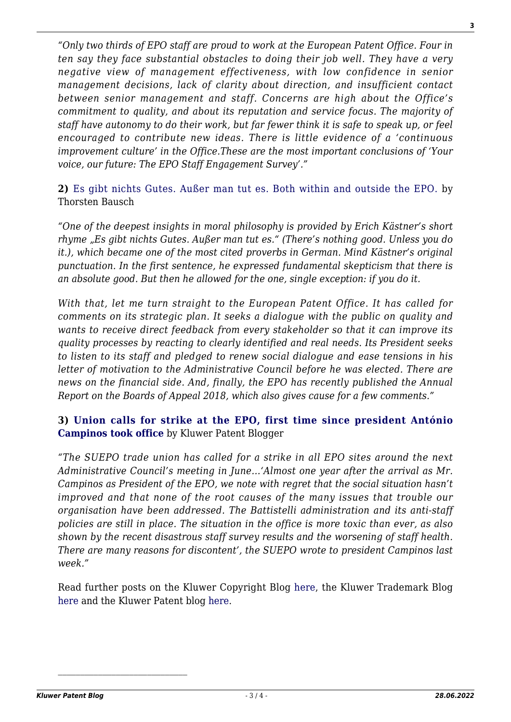*"Only two thirds of EPO staff are proud to work at the European Patent Office. Four in ten say they face substantial obstacles to doing their job well. They have a very negative view of management effectiveness, with low confidence in senior management decisions, lack of clarity about direction, and insufficient contact between senior management and staff. Concerns are high about the Office's commitment to quality, and about its reputation and service focus. The majority of staff have autonomy to do their work, but far fewer think it is safe to speak up, or feel encouraged to contribute new ideas. There is little evidence of a 'continuous improvement culture' in the Office.These are the most important conclusions of 'Your voice, our future: The EPO Staff Engagement Survey'."*

**2)** [Es gibt nichts Gutes. Außer man tut es. Both within and outside the EPO.](http://patentblog.kluweriplaw.com/2019/05/16/es-gibt-nichts-gutes-auser-man-tut-es-both-within-and-outside-the-epo/) by Thorsten Bausch

*"One of the deepest insights in moral philosophy is provided by Erich Kästner's short rhyme "Es gibt nichts Gutes. Außer man tut es." (There's nothing good. Unless you do it.), which became one of the most cited proverbs in German. Mind Kästner's original punctuation. In the first sentence, he expressed fundamental skepticism that there is an absolute good. But then he allowed for the one, single exception: if you do it.*

*With that, let me turn straight to the European Patent Office. It has called for comments on its strategic plan. It seeks a dialogue with the public on quality and wants to receive direct feedback from every stakeholder so that it can improve its quality processes by reacting to clearly identified and real needs. Its President seeks to listen to its staff and pledged to renew social dialogue and ease tensions in his letter of motivation to the Administrative Council before he was elected. There are news on the financial side. And, finally, the EPO has recently published the Annual Report on the Boards of Appeal 2018, which also gives cause for a few comments."*

### **3) [Union calls for strike at the EPO, first time since president António](http://patentblog.kluweriplaw.com/2019/05/24/union-calls-for-strike-at-the-epo-first-time-since-president-antonio-campinos-took-office/) [Campinos took office](http://patentblog.kluweriplaw.com/2019/05/24/union-calls-for-strike-at-the-epo-first-time-since-president-antonio-campinos-took-office/)** by Kluwer Patent Blogger

*"The SUEPO trade union has called for a strike in all EPO sites around the next Administrative Council's meeting in June…'Almost one year after the arrival as Mr. Campinos as President of the EPO, we note with regret that the social situation hasn't improved and that none of the root causes of the many issues that trouble our organisation have been addressed. The Battistelli administration and its anti-staff policies are still in place. The situation in the office is more toxic than ever, as also shown by the recent disastrous staff survey results and the worsening of staff health. There are many reasons for discontent', the SUEPO wrote to president Campinos last week."*

Read further posts on the Kluwer Copyright Blog [here,](http://kluwercopyrightblog.com/) the Kluwer Trademark Blog [here](http://kluwertrademarkblog.com/) and the Kluwer Patent blog [here.](http://kluwerpatentblog.com/)